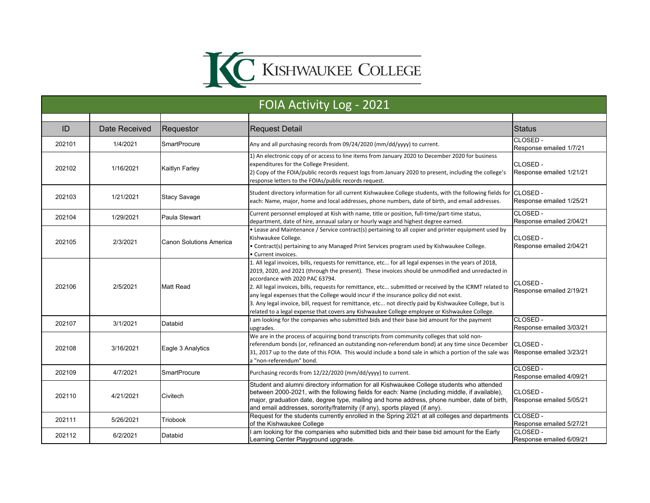

| FOIA Activity Log - 2021 |               |                                |                                                                                                                                                                                                                                                                                                                                                                                                                                                                                                                                                                                                                                                                   |                                            |  |  |
|--------------------------|---------------|--------------------------------|-------------------------------------------------------------------------------------------------------------------------------------------------------------------------------------------------------------------------------------------------------------------------------------------------------------------------------------------------------------------------------------------------------------------------------------------------------------------------------------------------------------------------------------------------------------------------------------------------------------------------------------------------------------------|--------------------------------------------|--|--|
|                          |               |                                |                                                                                                                                                                                                                                                                                                                                                                                                                                                                                                                                                                                                                                                                   |                                            |  |  |
| ID                       | Date Received | Requestor                      | <b>Request Detail</b>                                                                                                                                                                                                                                                                                                                                                                                                                                                                                                                                                                                                                                             | <b>Status</b>                              |  |  |
| 202101                   | 1/4/2021      | <b>SmartProcure</b>            | Any and all purchasing records from 09/24/2020 (mm/dd/yyyy) to current.                                                                                                                                                                                                                                                                                                                                                                                                                                                                                                                                                                                           | CLOSED -<br>Response emailed 1/7/21        |  |  |
| 202102                   | 1/16/2021     | <b>Kaitlyn Farley</b>          | 1) An electronic copy of or access to line items from January 2020 to December 2020 for business<br>expenditures for the College President.<br>2) Copy of the FOIA/public records request logs from January 2020 to present, including the college's<br>response letters to the FOIAs/public records request.                                                                                                                                                                                                                                                                                                                                                     | CLOSED -<br>Response emailed 1/21/21       |  |  |
| 202103                   | 1/21/2021     | <b>Stacy Savage</b>            | Student directory information for all current Kishwaukee College students, with the following fields for CLOSED -<br>each: Name, major, home and local addresses, phone numbers, date of birth, and email addresses.                                                                                                                                                                                                                                                                                                                                                                                                                                              | Response emailed 1/25/21                   |  |  |
| 202104                   | 1/29/2021     | Paula Stewart                  | Current personnel employed at Kish with name, title or position, full-time/part-time status,<br>department, date of hire, annaual salary or hourly wage and highest degree earned.                                                                                                                                                                                                                                                                                                                                                                                                                                                                                | CLOSED-<br>Response emailed 2/04/21        |  |  |
| 202105                   | 2/3/2021      | <b>Canon Solutions America</b> | • Lease and Maintenance / Service contract(s) pertaining to all copier and printer equipment used by<br>Kishwaukee College.<br>. Contract(s) pertaining to any Managed Print Services program used by Kishwaukee College.<br>Current invoices.                                                                                                                                                                                                                                                                                                                                                                                                                    | CLOSED -<br>Response emailed 2/04/21       |  |  |
| 202106                   | 2/5/2021      | <b>Matt Read</b>               | 1. All legal invoices, bills, requests for remittance, etc for all legal expenses in the years of 2018,<br>2019, 2020, and 2021 (through the present). These invoices should be unmodified and unredacted in<br>accordance with 2020 PAC 63794.<br>2. All legal invoices, bills, requests for remittance, etc submitted or received by the ICRMT related to<br>any legal expenses that the College would incur if the insurance policy did not exist.<br>3. Any legal invoice, bill, request for remittance, etc not directly paid by Kishwaukee College, but is<br>related to a legal expense that covers any Kishwaukee College employee or Kishwaukee College. | CLOSED -<br>Response emailed 2/19/21       |  |  |
| 202107                   | 3/1/2021      | Databid                        | I am looking for the companies who submitted bids and their base bid amount for the payment<br>upgrades.                                                                                                                                                                                                                                                                                                                                                                                                                                                                                                                                                          | CLOSED -<br>Response emailed 3/03/21       |  |  |
| 202108                   | 3/16/2021     | Eagle 3 Analytics              | We are in the process of acquiring bond transcripts from community colleges that sold non-<br>referendum bonds (or, refinanced an outstanding non-referendum bond) at any time since December<br>31, 2017 up to the date of this FOIA. This would include a bond sale in which a portion of the sale was<br>a "non-referendum" bond.                                                                                                                                                                                                                                                                                                                              | CLOSED -<br>Response emailed 3/23/21       |  |  |
| 202109                   | 4/7/2021      | <b>SmartProcure</b>            | Purchasing records from 12/22/2020 (mm/dd/yyyy) to current.                                                                                                                                                                                                                                                                                                                                                                                                                                                                                                                                                                                                       | CLOSED-<br>Response emailed 4/09/21        |  |  |
| 202110                   | 4/21/2021     | Civitech                       | Student and alumni directory information for all Kishwaukee College students who attended<br>between 2000-2021, with the following fields for each: Name (including middle, if available),<br>major, graduation date, degree type, mailing and home address, phone number, date of birth,<br>and email addresses, sorority/fraternity (if any), sports played (if any).                                                                                                                                                                                                                                                                                           | CLOSED -<br>Response emailed 5/05/21       |  |  |
| 202111                   | 5/26/2021     | Triobook                       | Request for the students currently enrolled in the Spring 2021 at all colleges and departments<br>of the Kishwaukee College                                                                                                                                                                                                                                                                                                                                                                                                                                                                                                                                       | <b>CLOSED-</b><br>Response emailed 5/27/21 |  |  |
| 202112                   | 6/2/2021      | Databid                        | am looking for the companies who submitted bids and their base bid amount for the Early<br>Learning Center Playground upgrade.                                                                                                                                                                                                                                                                                                                                                                                                                                                                                                                                    | CLOSED-<br>Response emailed 6/09/21        |  |  |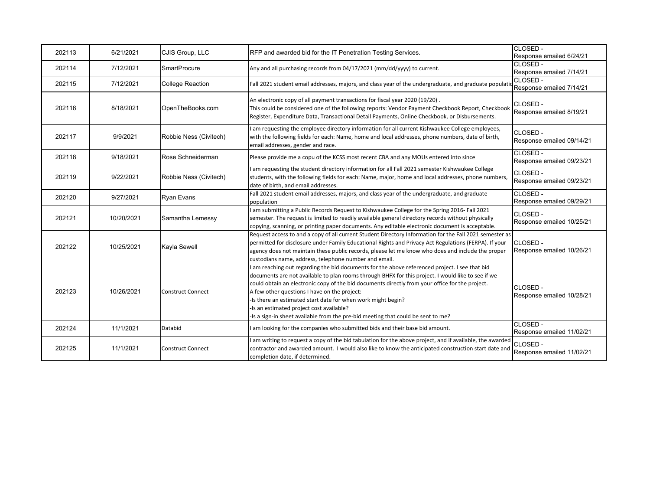| 202113 | 6/21/2021  | CJIS Group, LLC          | RFP and awarded bid for the IT Penetration Testing Services.                                                                                                                                                                                                                                                                                                                                                                                                                                                                                          | CLOSED -<br>Response emailed 6/24/21         |
|--------|------------|--------------------------|-------------------------------------------------------------------------------------------------------------------------------------------------------------------------------------------------------------------------------------------------------------------------------------------------------------------------------------------------------------------------------------------------------------------------------------------------------------------------------------------------------------------------------------------------------|----------------------------------------------|
| 202114 | 7/12/2021  | <b>SmartProcure</b>      | Any and all purchasing records from 04/17/2021 (mm/dd/yyyy) to current.                                                                                                                                                                                                                                                                                                                                                                                                                                                                               | CLOSED-<br>Response emailed 7/14/21          |
| 202115 | 7/12/2021  | <b>College Reaction</b>  | <br> Fall 2021 student email addresses, majors, and class year of the undergraduate, and graduate population Response emailed 7/14/21                                                                                                                                                                                                                                                                                                                                                                                                                 | CLOSED -                                     |
| 202116 | 8/18/2021  | OpenTheBooks.com         | An electronic copy of all payment transactions for fiscal year 2020 (19/20).<br>This could be considered one of the following reports: Vendor Payment Checkbook Report, Checkbook<br>Register, Expenditure Data, Transactional Detail Payments, Online Checkbook, or Disbursements.                                                                                                                                                                                                                                                                   | CLOSED -<br>Response emailed 8/19/21         |
| 202117 | 9/9/2021   | Robbie Ness (Civitech)   | am requesting the employee directory information for all current Kishwaukee College employees,<br>with the following fields for each: Name, home and local addresses, phone numbers, date of birth,<br>email addresses, gender and race.                                                                                                                                                                                                                                                                                                              | CLOSED -<br>Response emailed 09/14/21        |
| 202118 | 9/18/2021  | Rose Schneiderman        | Please provide me a copu of the KCSS most recent CBA and any MOUs entered into since                                                                                                                                                                                                                                                                                                                                                                                                                                                                  | CLOSED -<br>Response emailed 09/23/21        |
| 202119 | 9/22/2021  | Robbie Ness (Civitech)   | I am requesting the student directory information for all Fall 2021 semester Kishwaukee College<br>students, with the following fields for each: Name, major, home and local addresses, phone numbers,<br>date of birth, and email addresses.                                                                                                                                                                                                                                                                                                         | CLOSED-<br>Response emailed 09/23/21         |
| 202120 | 9/27/2021  | <b>Ryan Evans</b>        | Fall 2021 student email addresses, majors, and class year of the undergraduate, and graduate<br>population                                                                                                                                                                                                                                                                                                                                                                                                                                            | CLOSED-<br>Response emailed 09/29/21         |
| 202121 | 10/20/2021 | Samantha Lemessy         | am submitting a Public Records Request to Kishwaukee College for the Spring 2016- Fall 2021<br>semester. The request is limited to readily available general directory records without physically<br>copying, scanning, or printing paper documents. Any editable electronic document is acceptable.                                                                                                                                                                                                                                                  | CLOSED -<br>Response emailed 10/25/21        |
| 202122 | 10/25/2021 | Kayla Sewell             | Request access to and a copy of all current Student Directory Information for the Fall 2021 semester as<br>permitted for disclosure under Family Educational Rights and Privacy Act Regulations (FERPA). If your<br>agency does not maintain these public records, please let me know who does and include the proper<br>custodians name, address, telephone number and email.                                                                                                                                                                        | CLOSED -<br>Response emailed 10/26/21        |
| 202123 | 10/26/2021 | <b>Construct Connect</b> | am reaching out regarding the bid documents for the above referenced project. I see that bid<br>documents are not available to plan rooms through BHFX for this project. I would like to see if we<br>could obtain an electronic copy of the bid documents directly from your office for the project.<br>A few other questions I have on the project:<br>-Is there an estimated start date for when work might begin?<br>-Is an estimated project cost available?<br>-Is a sign-in sheet available from the pre-bid meeting that could be sent to me? | <b>CLOSED -</b><br>Response emailed 10/28/21 |
| 202124 | 11/1/2021  | Databid                  | am looking for the companies who submitted bids and their base bid amount.                                                                                                                                                                                                                                                                                                                                                                                                                                                                            | CLOSED -<br>Response emailed 11/02/21        |
| 202125 | 11/1/2021  | <b>Construct Connect</b> | am writing to request a copy of the bid tabulation for the above project, and if available, the awarded<br>contractor and awarded amount. I would also like to know the anticipated construction start date and<br>completion date, if determined.                                                                                                                                                                                                                                                                                                    | CLOSED -<br>Response emailed 11/02/21        |